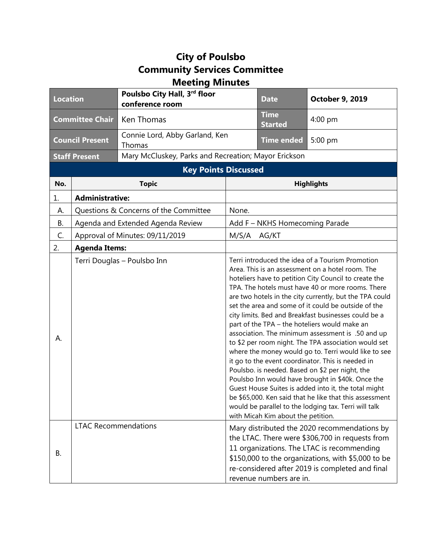## **City of Poulsbo Community Services Committee Meeting Minutes**

| <b>Location</b>             |                                       | Poulsbo City Hall, 3rd floor<br>conference room      |                                                                                                                                                                                                                                                                                                                                                                                                                                                                                                                                                                                                                                                                                                                                                                                                                                                                                                                                                                                                   | <b>Date</b>                   | <b>October 9, 2019</b>                                                                                                                                                                                                                                 |  |
|-----------------------------|---------------------------------------|------------------------------------------------------|---------------------------------------------------------------------------------------------------------------------------------------------------------------------------------------------------------------------------------------------------------------------------------------------------------------------------------------------------------------------------------------------------------------------------------------------------------------------------------------------------------------------------------------------------------------------------------------------------------------------------------------------------------------------------------------------------------------------------------------------------------------------------------------------------------------------------------------------------------------------------------------------------------------------------------------------------------------------------------------------------|-------------------------------|--------------------------------------------------------------------------------------------------------------------------------------------------------------------------------------------------------------------------------------------------------|--|
| <b>Committee Chair</b>      |                                       | Ken Thomas                                           |                                                                                                                                                                                                                                                                                                                                                                                                                                                                                                                                                                                                                                                                                                                                                                                                                                                                                                                                                                                                   | <b>Time</b><br><b>Started</b> | $4:00$ pm                                                                                                                                                                                                                                              |  |
| <b>Council Present</b>      |                                       | Connie Lord, Abby Garland, Ken<br>Thomas             |                                                                                                                                                                                                                                                                                                                                                                                                                                                                                                                                                                                                                                                                                                                                                                                                                                                                                                                                                                                                   | <b>Time ended</b>             | 5:00 pm                                                                                                                                                                                                                                                |  |
| <b>Staff Present</b>        |                                       | Mary McCluskey, Parks and Recreation; Mayor Erickson |                                                                                                                                                                                                                                                                                                                                                                                                                                                                                                                                                                                                                                                                                                                                                                                                                                                                                                                                                                                                   |                               |                                                                                                                                                                                                                                                        |  |
| <b>Key Points Discussed</b> |                                       |                                                      |                                                                                                                                                                                                                                                                                                                                                                                                                                                                                                                                                                                                                                                                                                                                                                                                                                                                                                                                                                                                   |                               |                                                                                                                                                                                                                                                        |  |
| No.                         |                                       | <b>Topic</b>                                         |                                                                                                                                                                                                                                                                                                                                                                                                                                                                                                                                                                                                                                                                                                                                                                                                                                                                                                                                                                                                   | <b>Highlights</b>             |                                                                                                                                                                                                                                                        |  |
| 1.                          | <b>Administrative:</b>                |                                                      |                                                                                                                                                                                                                                                                                                                                                                                                                                                                                                                                                                                                                                                                                                                                                                                                                                                                                                                                                                                                   |                               |                                                                                                                                                                                                                                                        |  |
| А.                          | Questions & Concerns of the Committee |                                                      | None.                                                                                                                                                                                                                                                                                                                                                                                                                                                                                                                                                                                                                                                                                                                                                                                                                                                                                                                                                                                             |                               |                                                                                                                                                                                                                                                        |  |
| В.                          | Agenda and Extended Agenda Review     |                                                      | Add F - NKHS Homecoming Parade                                                                                                                                                                                                                                                                                                                                                                                                                                                                                                                                                                                                                                                                                                                                                                                                                                                                                                                                                                    |                               |                                                                                                                                                                                                                                                        |  |
| C.                          | Approval of Minutes: 09/11/2019       |                                                      | M/S/A<br>AG/KT                                                                                                                                                                                                                                                                                                                                                                                                                                                                                                                                                                                                                                                                                                                                                                                                                                                                                                                                                                                    |                               |                                                                                                                                                                                                                                                        |  |
| 2.                          | <b>Agenda Items:</b>                  |                                                      |                                                                                                                                                                                                                                                                                                                                                                                                                                                                                                                                                                                                                                                                                                                                                                                                                                                                                                                                                                                                   |                               |                                                                                                                                                                                                                                                        |  |
| А.                          | Terri Douglas - Poulsbo Inn           |                                                      | Terri introduced the idea of a Tourism Promotion<br>Area. This is an assessment on a hotel room. The<br>hoteliers have to petition City Council to create the<br>TPA. The hotels must have 40 or more rooms. There<br>are two hotels in the city currently, but the TPA could<br>set the area and some of it could be outside of the<br>city limits. Bed and Breakfast businesses could be a<br>part of the TPA - the hoteliers would make an<br>association. The minimum assessment is .50 and up<br>to \$2 per room night. The TPA association would set<br>where the money would go to. Terri would like to see<br>it go to the event coordinator. This is needed in<br>Poulsbo. is needed. Based on \$2 per night, the<br>Poulsbo Inn would have brought in \$40k. Once the<br>Guest House Suites is added into it, the total might<br>be \$65,000. Ken said that he like that this assessment<br>would be parallel to the lodging tax. Terri will talk<br>with Micah Kim about the petition. |                               |                                                                                                                                                                                                                                                        |  |
| В.                          | <b>LTAC Recommendations</b>           |                                                      |                                                                                                                                                                                                                                                                                                                                                                                                                                                                                                                                                                                                                                                                                                                                                                                                                                                                                                                                                                                                   | revenue numbers are in.       | Mary distributed the 2020 recommendations by<br>the LTAC. There were \$306,700 in requests from<br>11 organizations. The LTAC is recommending<br>\$150,000 to the organizations, with \$5,000 to be<br>re-considered after 2019 is completed and final |  |